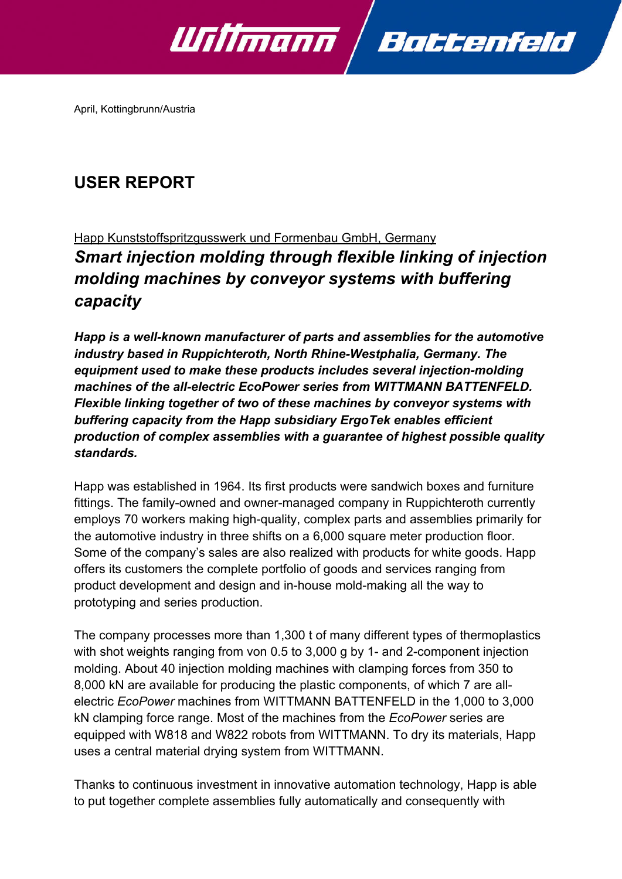

April, Kottingbrunn/Austria

# **USER REPORT**

## Happ Kunststoffspritzgusswerk und Formenbau GmbH, Germany *Smart injection molding through flexible linking of injection molding machines by conveyor systems with buffering capacity*

*Happ is a well-known manufacturer of parts and assemblies for the automotive industry based in Ruppichteroth, North Rhine-Westphalia, Germany. The equipment used to make these products includes several injection-molding machines of the all-electric EcoPower series from WITTMANN BATTENFELD. Flexible linking together of two of these machines by conveyor systems with buffering capacity from the Happ subsidiary ErgoTek enables efficient production of complex assemblies with a guarantee of highest possible quality standards.* 

Happ was established in 1964. Its first products were sandwich boxes and furniture fittings. The family-owned and owner-managed company in Ruppichteroth currently employs 70 workers making high-quality, complex parts and assemblies primarily for the automotive industry in three shifts on a 6,000 square meter production floor. Some of the company's sales are also realized with products for white goods. Happ offers its customers the complete portfolio of goods and services ranging from product development and design and in-house mold-making all the way to prototyping and series production.

The company processes more than 1,300 t of many different types of thermoplastics with shot weights ranging from von 0.5 to 3,000 g by 1- and 2-component injection molding. About 40 injection molding machines with clamping forces from 350 to 8,000 kN are available for producing the plastic components, of which 7 are allelectric *EcoPower* machines from WITTMANN BATTENFELD in the 1,000 to 3,000 kN clamping force range. Most of the machines from the *EcoPower* series are equipped with W818 and W822 robots from WITTMANN. To dry its materials, Happ uses a central material drying system from WITTMANN.

Thanks to continuous investment in innovative automation technology, Happ is able to put together complete assemblies fully automatically and consequently with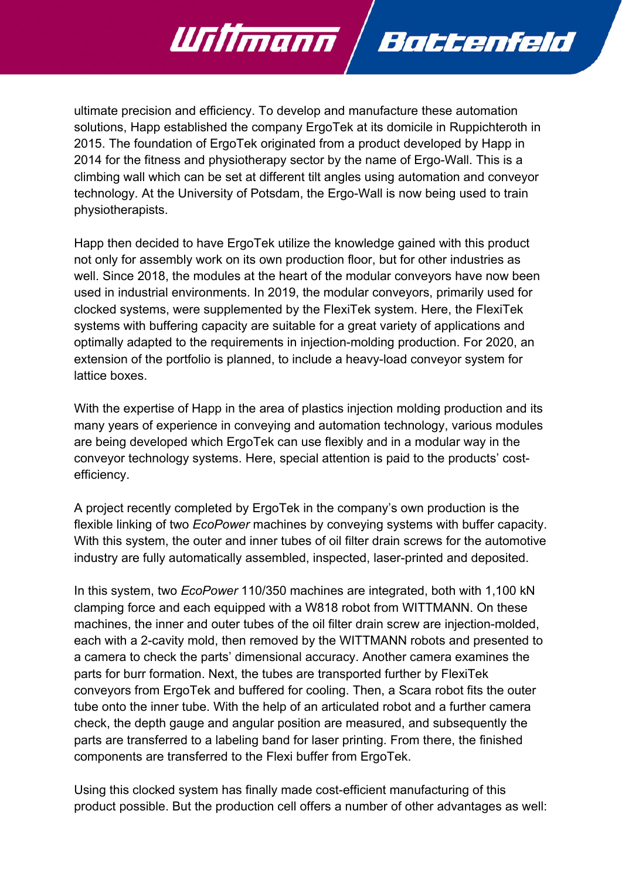ultimate precision and efficiency. To develop and manufacture these automation solutions, Happ established the company ErgoTek at its domicile in Ruppichteroth in 2015. The foundation of ErgoTek originated from a product developed by Happ in 2014 for the fitness and physiotherapy sector by the name of Ergo-Wall. This is a climbing wall which can be set at different tilt angles using automation and conveyor technology. At the University of Potsdam, the Ergo-Wall is now being used to train physiotherapists.

Battenfeld

<u> Willmann</u>

Happ then decided to have ErgoTek utilize the knowledge gained with this product not only for assembly work on its own production floor, but for other industries as well. Since 2018, the modules at the heart of the modular conveyors have now been used in industrial environments. In 2019, the modular conveyors, primarily used for clocked systems, were supplemented by the FlexiTek system. Here, the FlexiTek systems with buffering capacity are suitable for a great variety of applications and optimally adapted to the requirements in injection-molding production. For 2020, an extension of the portfolio is planned, to include a heavy-load conveyor system for lattice boxes.

With the expertise of Happ in the area of plastics injection molding production and its many years of experience in conveying and automation technology, various modules are being developed which ErgoTek can use flexibly and in a modular way in the conveyor technology systems. Here, special attention is paid to the products' costefficiency.

A project recently completed by ErgoTek in the company's own production is the flexible linking of two *EcoPower* machines by conveying systems with buffer capacity. With this system, the outer and inner tubes of oil filter drain screws for the automotive industry are fully automatically assembled, inspected, laser-printed and deposited.

In this system, two *EcoPower* 110/350 machines are integrated, both with 1,100 kN clamping force and each equipped with a W818 robot from WITTMANN. On these machines, the inner and outer tubes of the oil filter drain screw are injection-molded, each with a 2-cavity mold, then removed by the WITTMANN robots and presented to a camera to check the parts' dimensional accuracy. Another camera examines the parts for burr formation. Next, the tubes are transported further by FlexiTek conveyors from ErgoTek and buffered for cooling. Then, a Scara robot fits the outer tube onto the inner tube. With the help of an articulated robot and a further camera check, the depth gauge and angular position are measured, and subsequently the parts are transferred to a labeling band for laser printing. From there, the finished components are transferred to the Flexi buffer from ErgoTek.

Using this clocked system has finally made cost-efficient manufacturing of this product possible. But the production cell offers a number of other advantages as well: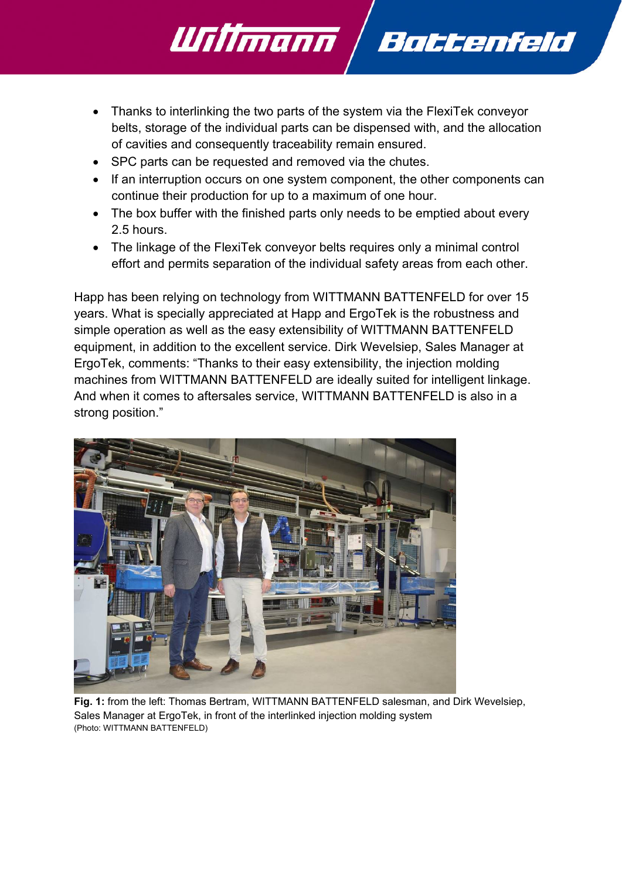Thanks to interlinking the two parts of the system via the FlexiTek conveyor belts, storage of the individual parts can be dispensed with, and the allocation of cavities and consequently traceability remain ensured.

Battenfeld

• SPC parts can be requested and removed via the chutes.

Willmann

- If an interruption occurs on one system component, the other components can continue their production for up to a maximum of one hour.
- The box buffer with the finished parts only needs to be emptied about every 2.5 hours.
- The linkage of the FlexiTek convevor belts requires only a minimal control effort and permits separation of the individual safety areas from each other.

Happ has been relying on technology from WITTMANN BATTENFELD for over 15 years. What is specially appreciated at Happ and ErgoTek is the robustness and simple operation as well as the easy extensibility of WITTMANN BATTENFELD equipment, in addition to the excellent service. Dirk Wevelsiep, Sales Manager at ErgoTek, comments: "Thanks to their easy extensibility, the injection molding machines from WITTMANN BATTENFELD are ideally suited for intelligent linkage. And when it comes to aftersales service, WITTMANN BATTENFELD is also in a strong position."



**Fig. 1:** from the left: Thomas Bertram, WITTMANN BATTENFELD salesman, and Dirk Wevelsiep, Sales Manager at ErgoTek, in front of the interlinked injection molding system (Photo: WITTMANN BATTENFELD)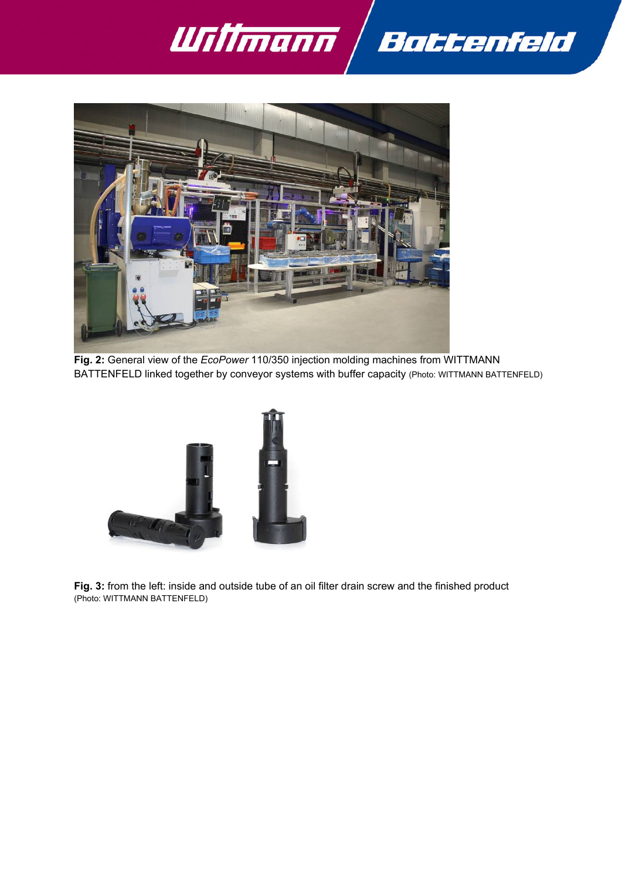



**Fig. 2:** General view of the *EcoPower* 110/350 injection molding machines from WITTMANN BATTENFELD linked together by conveyor systems with buffer capacity (Photo: WITTMANN BATTENFELD)



**Fig. 3:** from the left: inside and outside tube of an oil filter drain screw and the finished product (Photo: WITTMANN BATTENFELD)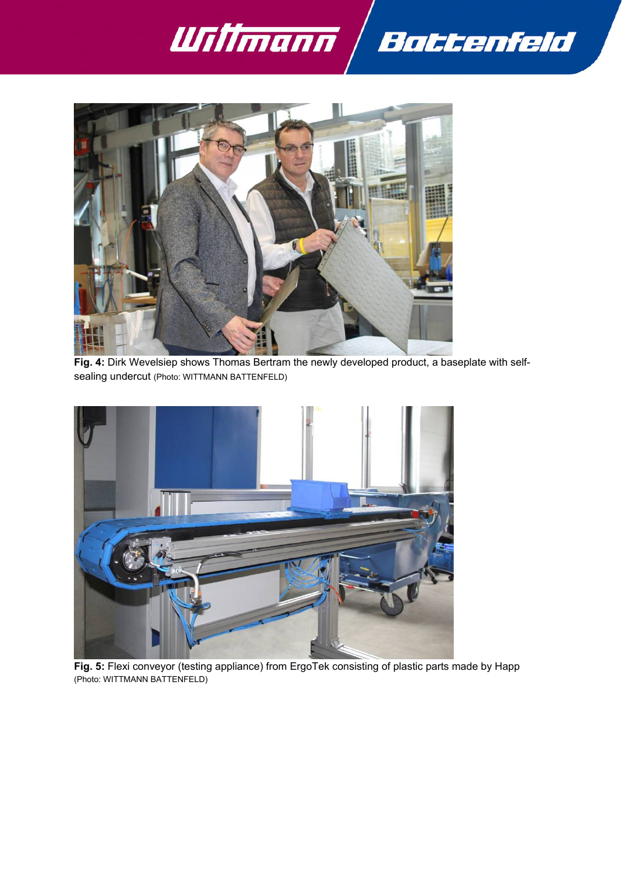



**Fig. 4:** Dirk Wevelsiep shows Thomas Bertram the newly developed product, a baseplate with selfsealing undercut (Photo: WITTMANN BATTENFELD)



**Fig. 5:** Flexi conveyor (testing appliance) from ErgoTek consisting of plastic parts made by Happ (Photo: WITTMANN BATTENFELD)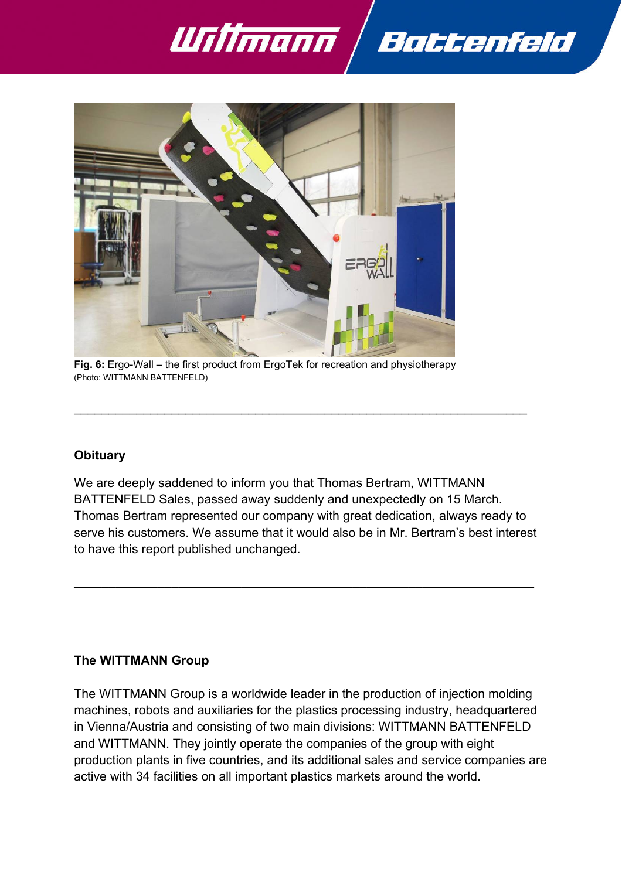



**Fig. 6:** Ergo-Wall – the first product from ErgoTek for recreation and physiotherapy (Photo: WITTMANN BATTENFELD)

## **Obituary**

We are deeply saddened to inform you that Thomas Bertram, WITTMANN BATTENFELD Sales, passed away suddenly and unexpectedly on 15 March. Thomas Bertram represented our company with great dedication, always ready to serve his customers. We assume that it would also be in Mr. Bertram's best interest to have this report published unchanged.

 $\mathcal{L}_\mathcal{L} = \mathcal{L}_\mathcal{L} = \mathcal{L}_\mathcal{L} = \mathcal{L}_\mathcal{L} = \mathcal{L}_\mathcal{L} = \mathcal{L}_\mathcal{L} = \mathcal{L}_\mathcal{L} = \mathcal{L}_\mathcal{L} = \mathcal{L}_\mathcal{L} = \mathcal{L}_\mathcal{L} = \mathcal{L}_\mathcal{L} = \mathcal{L}_\mathcal{L} = \mathcal{L}_\mathcal{L} = \mathcal{L}_\mathcal{L} = \mathcal{L}_\mathcal{L} = \mathcal{L}_\mathcal{L} = \mathcal{L}_\mathcal{L}$ 

 $\mathcal{L}_\mathcal{L} = \{ \mathcal{L}_\mathcal{L} = \{ \mathcal{L}_\mathcal{L} = \{ \mathcal{L}_\mathcal{L} = \{ \mathcal{L}_\mathcal{L} = \{ \mathcal{L}_\mathcal{L} = \{ \mathcal{L}_\mathcal{L} = \{ \mathcal{L}_\mathcal{L} = \{ \mathcal{L}_\mathcal{L} = \{ \mathcal{L}_\mathcal{L} = \{ \mathcal{L}_\mathcal{L} = \{ \mathcal{L}_\mathcal{L} = \{ \mathcal{L}_\mathcal{L} = \{ \mathcal{L}_\mathcal{L} = \{ \mathcal{L}_\mathcal{$ 

## **The WITTMANN Group**

The WITTMANN Group is a worldwide leader in the production of injection molding machines, robots and auxiliaries for the plastics processing industry, headquartered in Vienna/Austria and consisting of two main divisions: WITTMANN BATTENFELD and WITTMANN. They jointly operate the companies of the group with eight production plants in five countries, and its additional sales and service companies are active with 34 facilities on all important plastics markets around the world.